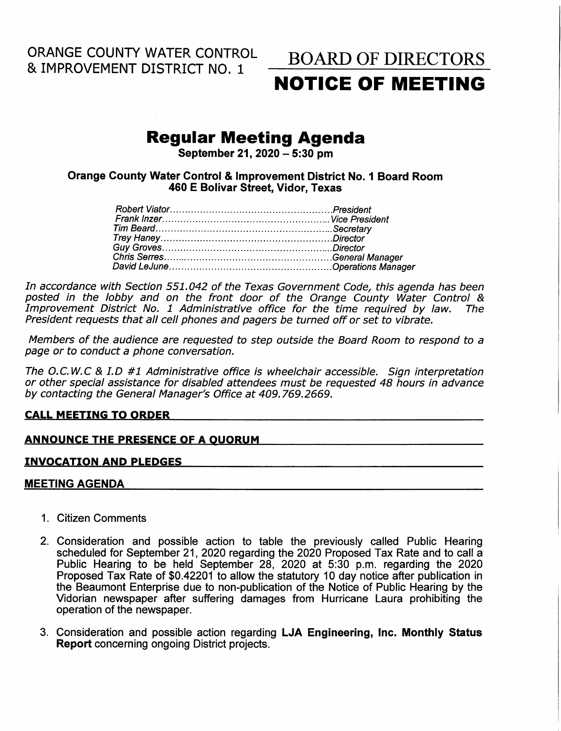ORANGE COUNTY WATER CONTROL & IMPROVEMENT DISTRICT NO. <sup>1</sup>

# BOARD OF DIRECTORS NOTIGE OF MEETING

# Regular Meeting Agenda

September 21, 2020  $-$  5:30 pm

Orange Gounty Water Control & lmprovement District No. I Board Room 460 E Bolivar Street. Vidor, Texas

In accordance with Section 551,042 of the Texas Government Code, this agenda has been posted in the lobby and on the front door of the Orange County Water Control & Improvement District No, 7 Administrative office for the time required by law. The President requests that all cell phones and pagers be turned off or set to vibrate.

Members of the audience are requested to step outside the Board Room to respond to a page or to conduct a phone conversation.

The O.C.W,C & I.D #1 Administrative office is wheelchair accessible. Sign interpretation or other special assistance for disabled attendees must be requested 48 hours in advance by contacting the General Manager's Office at 409.769.2669.

### **CALL MEETING TO ORDER**

# ANNOUNCE THE PRESENCE OF A OUORUM **ANTIOUS CONSUMER A**

### INVOCATION AND PLEDGES

# MEETING AGENDA

- 1. Citizen Comments
- 2. Consideration and possible action to table the previously called Public Hearing scheduled for September 21, 2020 regarding the 2020 Proposed Tax Rate and to call a Pubfic Hearing to be held September 28, 2020 at 5:30 p.m. regarding the 2020 Proposed Tax Rate of \$0.42201 to allow the statutory 10 day notice after publication in the Beaumont Enterprise due to non-publication of the Notice of Public Hearing by the Vidorian newspaper after suffering damages from Hurricane Laura prohibiting the operation of the newspaper.
- 3. Consideration and possible action regarding LJA Engineering, Inc. Monthly Status Report concerning ongoing District projects.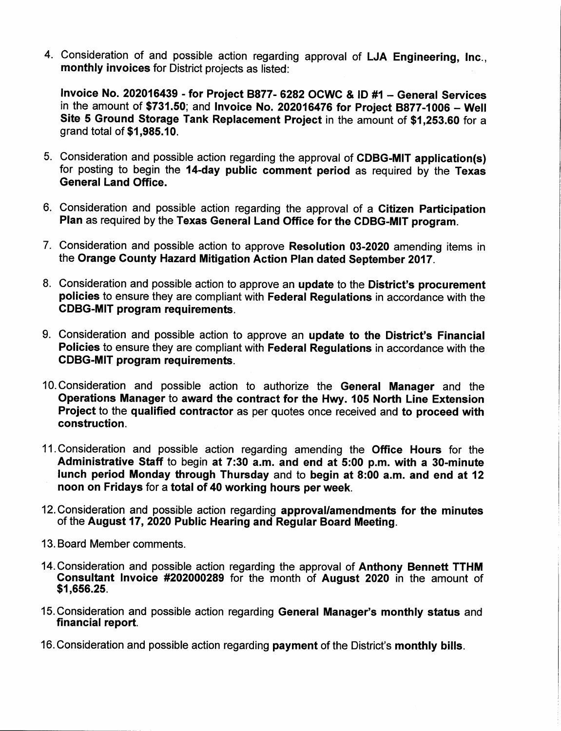4. Consideration of and possible action regarding approval of LJA Engineering, Inc., monthly invoices for District projects as listed:

Invoice No.202016439 - for Project BBTT-G292 ocwc & tD #1 - General Services in the amount of \$731.50; and Invoice No. 202016476 for Project 8877-1006 - Well Site 5 Ground Storage Tank Replacement Project in the amount of \$1,253.60 for a grand total of \$1,985.10.

- 5. Consideration and possible action regarding the approval of CDBG-MIT application(s) for posting to begin the 14-day public comment period as required by the Texas General Land Office.
- 6. Consideration and possible action regarding the approval of a Citizen Participatior Plan as required by the Texas General Land Office for the CDBG-MIT program.
- 7. Consideration and possible action to approve Resolution 03-2020 amending items in the Orange Gounty Hazard Mitigation Action Plan dated September 2017.
- 8. Consideration and possible action to approve an update to the District's procurement policies to ensure they are compliant with Federal Regulations in accordance with the CDBG-MIT program requirements.
- 9. Consideration and possible action to approve an update to the District's Financial Policies to ensure they are compliant with Federal Regulations in accordance with the GDBG-MIT program requirements.
- 10. Consideration and possible action to authorize the General Manager and the Operations Manager to award the contract for the Hwy. 105 North Line Extension Project to the qualified contractor as per quotes once received and to proceed with construction.
- 11. Consideration and possible action regarding amending the **Office Hours** for the Administrative Staff to begin at 7:30 a.m. and end at 5:00 p.m. with a 3O-minute <sup>f</sup>unch period Monday through Thursday and to begin at 8:00 a.m. and end at 12 noon on Fridays for a total of 40 working hours per week.
- l2.Consideration and possible action regarding approval/amendments for the minutes of the August 17, 2020 Public Hearing and Regular Board Meeting.
- 13. Board Member comments.
- 14. Consideration and possible action regarding the approval of Anthony Bennett TTHM Gonsultant Invoice #202000289 for the month of August 2020 in the amount of \$1,656.25.
- 15. Consideration and possible action regarding General Manager's monthly status and financial report.
- 16. Consideration and possible action regarding payment of the District's monthly bills.